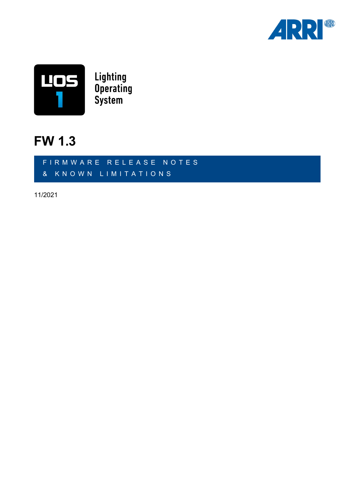



### **FW 1.3**

FIRMWARE RELEASE NOTES & KNOWN LIMITATIONS

11/2021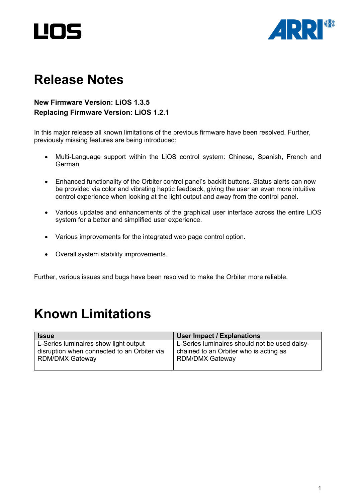



## **Release Notes**

#### **New Firmware Version: LiOS 1.3.5 Replacing Firmware Version: LiOS 1.2.1**

In this major release all known limitations of the previous firmware have been resolved. Further, previously missing features are being introduced:

- Multi-Language support within the LiOS control system: Chinese, Spanish, French and German
- Enhanced functionality of the Orbiter control panel's backlit buttons. Status alerts can now be provided via color and vibrating haptic feedback, giving the user an even more intuitive control experience when looking at the light output and away from the control panel.
- Various updates and enhancements of the graphical user interface across the entire LiOS system for a better and simplified user experience.
- Various improvements for the integrated web page control option.
- Overall system stability improvements.

Further, various issues and bugs have been resolved to make the Orbiter more reliable.

# **Known Limitations**

| <b>Issue</b>                                | User Impact / Explanations                    |
|---------------------------------------------|-----------------------------------------------|
| L-Series luminaires show light output       | L-Series luminaires should not be used daisy- |
| disruption when connected to an Orbiter via | chained to an Orbiter who is acting as        |
| <b>RDM/DMX Gateway</b>                      | <b>RDM/DMX Gateway</b>                        |
|                                             |                                               |